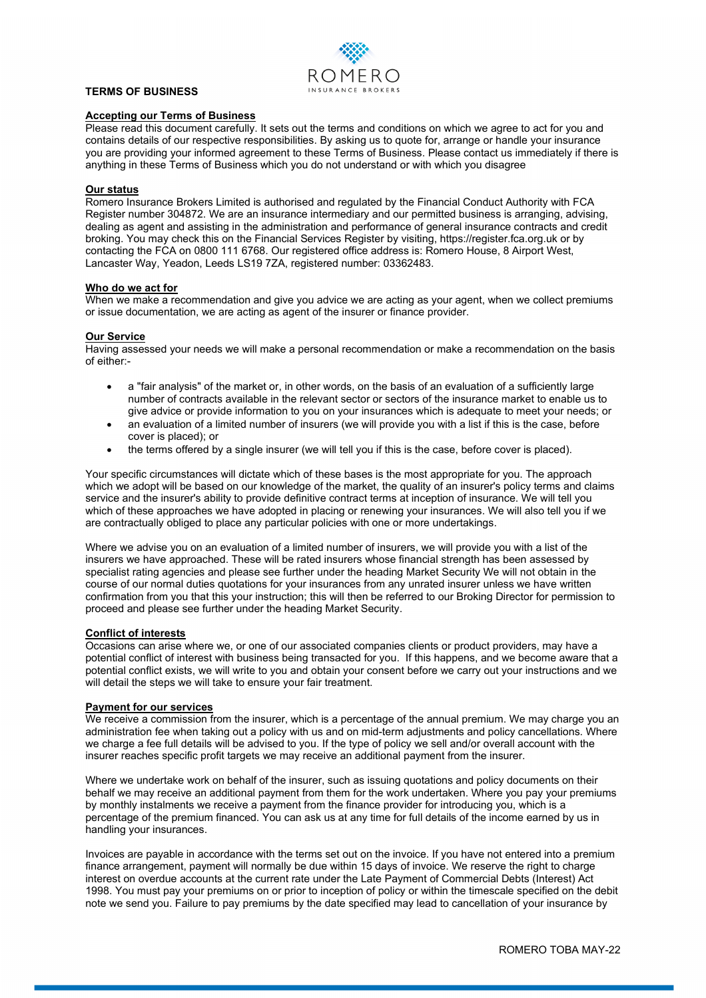

# **TERMS OF BUSINESS**

## **Accepting our Terms of Business**

Please read this document carefully. It sets out the terms and conditions on which we agree to act for you and contains details of our respective responsibilities. By asking us to quote for, arrange or handle your insurance you are providing your informed agreement to these Terms of Business. Please contact us immediately if there is anything in these Terms of Business which you do not understand or with which you disagree

## **Our status**

Romero Insurance Brokers Limited is authorised and regulated by the Financial Conduct Authority with FCA Register number 304872. We are an insurance intermediary and our permitted business is arranging, advising, dealing as agent and assisting in the administration and performance of general insurance contracts and credit broking. You may check this on the Financial Services Register by visiting, https://register.fca.org.uk or by contacting the FCA on 0800 111 6768. Our registered office address is: Romero House, 8 Airport West, Lancaster Way, Yeadon, Leeds LS19 7ZA, registered number: 03362483.

### **Who do we act for**

When we make a recommendation and give you advice we are acting as your agent, when we collect premiums or issue documentation, we are acting as agent of the insurer or finance provider.

# **Our Service**

Having assessed your needs we will make a personal recommendation or make a recommendation on the basis of either:-

- a "fair analysis" of the market or, in other words, on the basis of an evaluation of a sufficiently large number of contracts available in the relevant sector or sectors of the insurance market to enable us to give advice or provide information to you on your insurances which is adequate to meet your needs; or
- an evaluation of a limited number of insurers (we will provide you with a list if this is the case, before cover is placed); or
- the terms offered by a single insurer (we will tell you if this is the case, before cover is placed).

Your specific circumstances will dictate which of these bases is the most appropriate for you. The approach which we adopt will be based on our knowledge of the market, the quality of an insurer's policy terms and claims service and the insurer's ability to provide definitive contract terms at inception of insurance. We will tell you which of these approaches we have adopted in placing or renewing your insurances. We will also tell you if we are contractually obliged to place any particular policies with one or more undertakings.

Where we advise you on an evaluation of a limited number of insurers, we will provide you with a list of the insurers we have approached. These will be rated insurers whose financial strength has been assessed by specialist rating agencies and please see further under the heading Market Security We will not obtain in the course of our normal duties quotations for your insurances from any unrated insurer unless we have written confirmation from you that this your instruction; this will then be referred to our Broking Director for permission to proceed and please see further under the heading Market Security.

# **Conflict of interests**

Occasions can arise where we, or one of our associated companies clients or product providers, may have a potential conflict of interest with business being transacted for you. If this happens, and we become aware that a potential conflict exists, we will write to you and obtain your consent before we carry out your instructions and we will detail the steps we will take to ensure your fair treatment.

# **Payment for our services**

We receive a commission from the insurer, which is a percentage of the annual premium. We may charge you an administration fee when taking out a policy with us and on mid-term adjustments and policy cancellations. Where we charge a fee full details will be advised to you. If the type of policy we sell and/or overall account with the insurer reaches specific profit targets we may receive an additional payment from the insurer.

Where we undertake work on behalf of the insurer, such as issuing quotations and policy documents on their behalf we may receive an additional payment from them for the work undertaken. Where you pay your premiums by monthly instalments we receive a payment from the finance provider for introducing you, which is a percentage of the premium financed. You can ask us at any time for full details of the income earned by us in handling your insurances.

Invoices are payable in accordance with the terms set out on the invoice. If you have not entered into a premium finance arrangement, payment will normally be due within 15 days of invoice. We reserve the right to charge interest on overdue accounts at the current rate under the Late Payment of Commercial Debts (Interest) Act 1998. You must pay your premiums on or prior to inception of policy or within the timescale specified on the debit note we send you. Failure to pay premiums by the date specified may lead to cancellation of your insurance by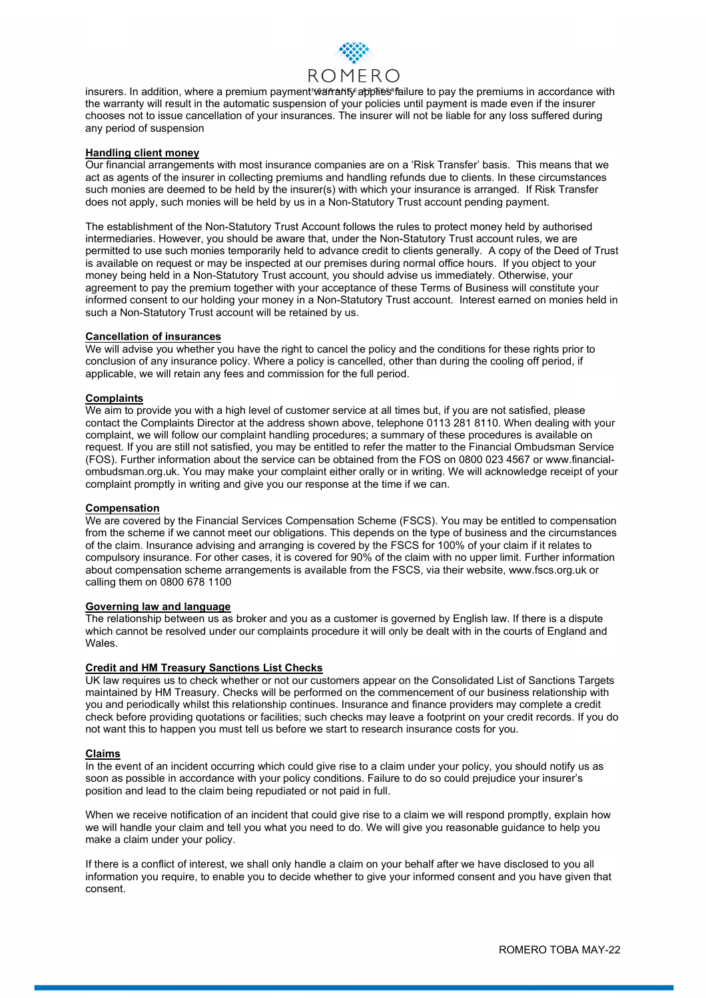

insurers. In addition, where a premium payment wantanty applies failure to pay the premiums in accordance with the warranty will result in the automatic suspension of your policies until payment is made even if the insurer chooses not to issue cancellation of your insurances. The insurer will not be liable for any loss suffered during any period of suspension

## **Handling client money**

Our financial arrangements with most insurance companies are on a 'Risk Transfer' basis. This means that we act as agents of the insurer in collecting premiums and handling refunds due to clients. In these circumstances such monies are deemed to be held by the insurer(s) with which your insurance is arranged. If Risk Transfer does not apply, such monies will be held by us in a Non-Statutory Trust account pending payment.

The establishment of the Non-Statutory Trust Account follows the rules to protect money held by authorised intermediaries. However, you should be aware that, under the Non-Statutory Trust account rules, we are permitted to use such monies temporarily held to advance credit to clients generally. A copy of the Deed of Trust is available on request or may be inspected at our premises during normal office hours. If you object to your money being held in a Non-Statutory Trust account, you should advise us immediately. Otherwise, your agreement to pay the premium together with your acceptance of these Terms of Business will constitute your informed consent to our holding your money in a Non-Statutory Trust account. Interest earned on monies held in such a Non-Statutory Trust account will be retained by us.

# **Cancellation of insurances**

We will advise you whether you have the right to cancel the policy and the conditions for these rights prior to conclusion of any insurance policy. Where a policy is cancelled, other than during the cooling off period, if applicable, we will retain any fees and commission for the full period.

# **Complaints**

We aim to provide you with a high level of customer service at all times but, if you are not satisfied, please contact the Complaints Director at the address shown above, telephone 0113 281 8110. When dealing with your complaint, we will follow our complaint handling procedures; a summary of these procedures is available on request. If you are still not satisfied, you may be entitled to refer the matter to the Financial Ombudsman Service (FOS). Further information about the service can be obtained from the FOS on 0800 023 4567 or www.financialombudsman.org.uk. You may make your complaint either orally or in writing. We will acknowledge receipt of your complaint promptly in writing and give you our response at the time if we can.

# **Compensation**

We are covered by the Financial Services Compensation Scheme (FSCS). You may be entitled to compensation from the scheme if we cannot meet our obligations. This depends on the type of business and the circumstances of the claim. Insurance advising and arranging is covered by the FSCS for 100% of your claim if it relates to compulsory insurance. For other cases, it is covered for 90% of the claim with no upper limit. Further information about compensation scheme arrangements is available from the FSCS, via their website, www.fscs.org.uk or calling them on 0800 678 1100

## **Governing law and language**

The relationship between us as broker and you as a customer is governed by English law. If there is a dispute which cannot be resolved under our complaints procedure it will only be dealt with in the courts of England and Wales.

#### **Credit and HM Treasury Sanctions List Checks**

UK law requires us to check whether or not our customers appear on the Consolidated List of Sanctions Targets maintained by HM Treasury. Checks will be performed on the commencement of our business relationship with you and periodically whilst this relationship continues. Insurance and finance providers may complete a credit check before providing quotations or facilities; such checks may leave a footprint on your credit records. If you do not want this to happen you must tell us before we start to research insurance costs for you.

#### **Claims**

In the event of an incident occurring which could give rise to a claim under your policy, you should notify us as soon as possible in accordance with your policy conditions. Failure to do so could prejudice your insurer's position and lead to the claim being repudiated or not paid in full.

When we receive notification of an incident that could give rise to a claim we will respond promptly, explain how we will handle your claim and tell you what you need to do. We will give you reasonable guidance to help you make a claim under your policy.

If there is a conflict of interest, we shall only handle a claim on your behalf after we have disclosed to you all information you require, to enable you to decide whether to give your informed consent and you have given that consent.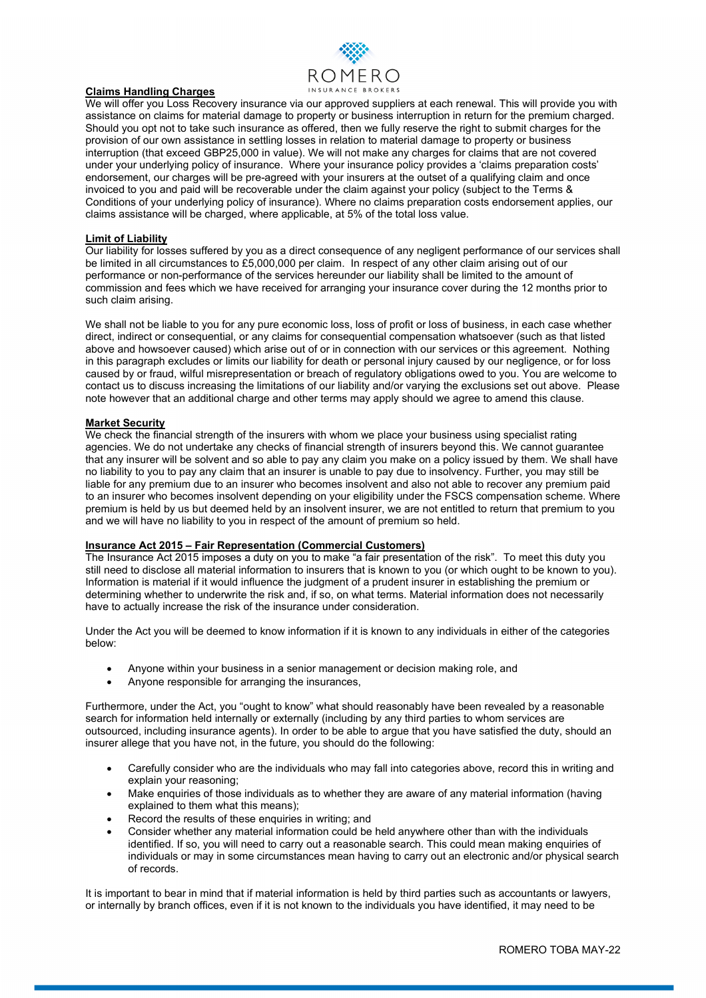

# **Claims Handling Charges**

We will offer you Loss Recovery insurance via our approved suppliers at each renewal. This will provide you with assistance on claims for material damage to property or business interruption in return for the premium charged. Should you opt not to take such insurance as offered, then we fully reserve the right to submit charges for the provision of our own assistance in settling losses in relation to material damage to property or business interruption (that exceed GBP25,000 in value). We will not make any charges for claims that are not covered under your underlying policy of insurance. Where your insurance policy provides a 'claims preparation costs' endorsement, our charges will be pre-agreed with your insurers at the outset of a qualifying claim and once invoiced to you and paid will be recoverable under the claim against your policy (subject to the Terms & Conditions of your underlying policy of insurance). Where no claims preparation costs endorsement applies, our claims assistance will be charged, where applicable, at 5% of the total loss value.

# **Limit of Liability**

Our liability for losses suffered by you as a direct consequence of any negligent performance of our services shall be limited in all circumstances to £5,000,000 per claim. In respect of any other claim arising out of our performance or non-performance of the services hereunder our liability shall be limited to the amount of commission and fees which we have received for arranging your insurance cover during the 12 months prior to such claim arising.

We shall not be liable to you for any pure economic loss, loss of profit or loss of business, in each case whether direct, indirect or consequential, or any claims for consequential compensation whatsoever (such as that listed above and howsoever caused) which arise out of or in connection with our services or this agreement. Nothing in this paragraph excludes or limits our liability for death or personal injury caused by our negligence, or for loss caused by or fraud, wilful misrepresentation or breach of regulatory obligations owed to you. You are welcome to contact us to discuss increasing the limitations of our liability and/or varying the exclusions set out above. Please note however that an additional charge and other terms may apply should we agree to amend this clause.

# **Market Security**

We check the financial strength of the insurers with whom we place your business using specialist rating agencies. We do not undertake any checks of financial strength of insurers beyond this. We cannot guarantee that any insurer will be solvent and so able to pay any claim you make on a policy issued by them. We shall have no liability to you to pay any claim that an insurer is unable to pay due to insolvency. Further, you may still be liable for any premium due to an insurer who becomes insolvent and also not able to recover any premium paid to an insurer who becomes insolvent depending on your eligibility under the FSCS compensation scheme. Where premium is held by us but deemed held by an insolvent insurer, we are not entitled to return that premium to you and we will have no liability to you in respect of the amount of premium so held.

# **Insurance Act 2015 – Fair Representation (Commercial Customers)**

The Insurance Act 2015 imposes a duty on you to make "a fair presentation of the risk". To meet this duty you still need to disclose all material information to insurers that is known to you (or which ought to be known to you). Information is material if it would influence the judgment of a prudent insurer in establishing the premium or determining whether to underwrite the risk and, if so, on what terms. Material information does not necessarily have to actually increase the risk of the insurance under consideration.

Under the Act you will be deemed to know information if it is known to any individuals in either of the categories below:

- Anyone within your business in a senior management or decision making role, and
- Anyone responsible for arranging the insurances,

Furthermore, under the Act, you "ought to know" what should reasonably have been revealed by a reasonable search for information held internally or externally (including by any third parties to whom services are outsourced, including insurance agents). In order to be able to argue that you have satisfied the duty, should an insurer allege that you have not, in the future, you should do the following:

- Carefully consider who are the individuals who may fall into categories above, record this in writing and explain your reasoning;
- Make enquiries of those individuals as to whether they are aware of any material information (having explained to them what this means);
- Record the results of these enquiries in writing; and
- Consider whether any material information could be held anywhere other than with the individuals identified. If so, you will need to carry out a reasonable search. This could mean making enquiries of individuals or may in some circumstances mean having to carry out an electronic and/or physical search of records.

It is important to bear in mind that if material information is held by third parties such as accountants or lawyers, or internally by branch offices, even if it is not known to the individuals you have identified, it may need to be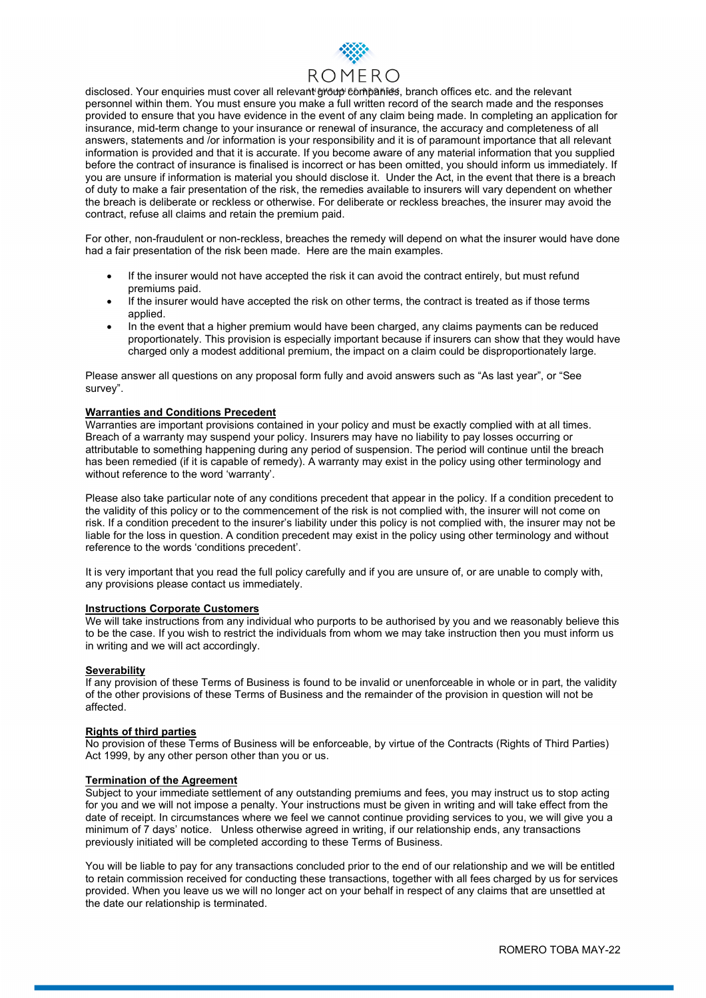

disclosed. Your enquiries must cover all relevant group companies, branch offices etc. and the relevant personnel within them. You must ensure you make a full written record of the search made and the responses provided to ensure that you have evidence in the event of any claim being made. In completing an application for insurance, mid-term change to your insurance or renewal of insurance, the accuracy and completeness of all answers, statements and /or information is your responsibility and it is of paramount importance that all relevant information is provided and that it is accurate. If you become aware of any material information that you supplied before the contract of insurance is finalised is incorrect or has been omitted, you should inform us immediately. If you are unsure if information is material you should disclose it. Under the Act, in the event that there is a breach of duty to make a fair presentation of the risk, the remedies available to insurers will vary dependent on whether the breach is deliberate or reckless or otherwise. For deliberate or reckless breaches, the insurer may avoid the contract, refuse all claims and retain the premium paid.

For other, non-fraudulent or non-reckless, breaches the remedy will depend on what the insurer would have done had a fair presentation of the risk been made. Here are the main examples.

- If the insurer would not have accepted the risk it can avoid the contract entirely, but must refund premiums paid.
- If the insurer would have accepted the risk on other terms, the contract is treated as if those terms applied.
- In the event that a higher premium would have been charged, any claims payments can be reduced proportionately. This provision is especially important because if insurers can show that they would have charged only a modest additional premium, the impact on a claim could be disproportionately large.

Please answer all questions on any proposal form fully and avoid answers such as "As last year", or "See survey".

# **Warranties and Conditions Precedent**

Warranties are important provisions contained in your policy and must be exactly complied with at all times. Breach of a warranty may suspend your policy. Insurers may have no liability to pay losses occurring or attributable to something happening during any period of suspension. The period will continue until the breach has been remedied (if it is capable of remedy). A warranty may exist in the policy using other terminology and without reference to the word 'warranty'.

Please also take particular note of any conditions precedent that appear in the policy. If a condition precedent to the validity of this policy or to the commencement of the risk is not complied with, the insurer will not come on risk. If a condition precedent to the insurer's liability under this policy is not complied with, the insurer may not be liable for the loss in question. A condition precedent may exist in the policy using other terminology and without reference to the words 'conditions precedent'.

It is very important that you read the full policy carefully and if you are unsure of, or are unable to comply with, any provisions please contact us immediately.

#### **Instructions Corporate Customers**

We will take instructions from any individual who purports to be authorised by you and we reasonably believe this to be the case. If you wish to restrict the individuals from whom we may take instruction then you must inform us in writing and we will act accordingly.

#### **Severability**

If any provision of these Terms of Business is found to be invalid or unenforceable in whole or in part, the validity of the other provisions of these Terms of Business and the remainder of the provision in question will not be affected.

# **Rights of third parties**

No provision of these Terms of Business will be enforceable, by virtue of the Contracts (Rights of Third Parties) Act 1999, by any other person other than you or us.

#### **Termination of the Agreement**

Subject to your immediate settlement of any outstanding premiums and fees, you may instruct us to stop acting for you and we will not impose a penalty. Your instructions must be given in writing and will take effect from the date of receipt. In circumstances where we feel we cannot continue providing services to you, we will give you a minimum of 7 days' notice. Unless otherwise agreed in writing, if our relationship ends, any transactions previously initiated will be completed according to these Terms of Business.

You will be liable to pay for any transactions concluded prior to the end of our relationship and we will be entitled to retain commission received for conducting these transactions, together with all fees charged by us for services provided. When you leave us we will no longer act on your behalf in respect of any claims that are unsettled at the date our relationship is terminated.